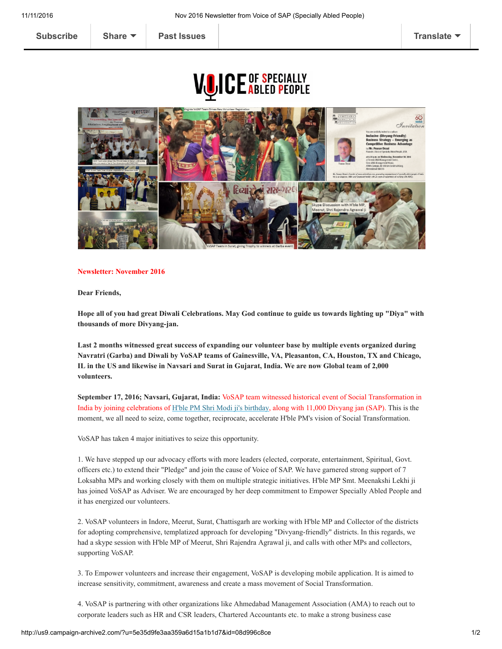## **VUICE ABLED PEOPLE**



## Newsletter: November 2016

Dear Friends,

Hope all of you had great Diwali Celebrations. May God continue to guide us towards lighting up "Diya" with thousands of more Divyang-jan.

Last 2 months witnessed great success of expanding our volunteer base by multiple events organized during Navratri (Garba) and Diwali by VoSAP teams of Gainesville, VA, Pleasanton, CA, Houston, TX and Chicago, IL in the US and likewise in Navsari and Surat in Gujarat, India. We are now Global team of 2,000 volunteers.

September 17, 2016; Navsari, Gujarat, India: VoSAP team witnessed historical event of Social Transformation in India by joining celebrations of [H'ble PM Shri Modi ji's birthday](http://voiceofsap.com/news/vosap-team-joins-celebrations-of-hble-pm-shri-modii-jis-birthday-with-11000-specially-abled-people/), along with 11,000 Divyang jan (SAP). This is the moment, we all need to seize, come together, reciprocate, accelerate H'ble PM's vision of Social Transformation.

VoSAP has taken 4 major initiatives to seize this opportunity.

1. We have stepped up our advocacy efforts with more leaders (elected, corporate, entertainment, Spiritual, Govt. officers etc.) to extend their "Pledge" and join the cause of Voice of SAP. We have garnered strong support of 7 Loksabha MPs and working closely with them on multiple strategic initiatives. H'ble MP Smt. Meenakshi Lekhi ji has joined VoSAP as Adviser. We are encouraged by her deep commitment to Empower Specially Abled People and it has energized our volunteers.

2. VoSAP volunteers in Indore, Meerut, Surat, Chattisgarh are working with H'ble MP and Collector of the districts for adopting comprehensive, templatized approach for developing "Divyang-friendly" districts. In this regards, we had a skype session with H'ble MP of Meerut, Shri Rajendra Agrawal ji, and calls with other MPs and collectors, supporting VoSAP.

3. To Empower volunteers and increase their engagement, VoSAP is developing mobile application. It is aimed to increase sensitivity, commitment, awareness and create a mass movement of Social Transformation.

4. VoSAP is partnering with other organizations like Ahmedabad Management Association (AMA) to reach out to corporate leaders such as HR and CSR leaders, Chartered Accountants etc. to make a strong business case